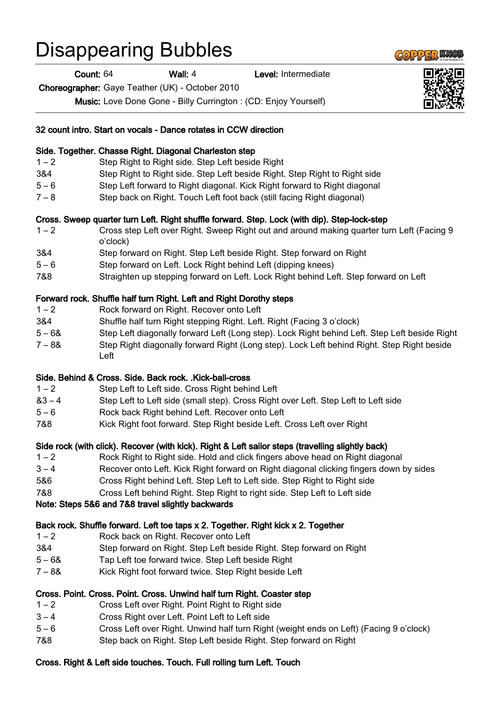## Disappearing Bubbles

Count: 64 Wall: 4 Level: Intermediate

Choreographer: Gaye Teather (UK) - October 2010

Music: Love Done Gone - Billy Currington : (CD: Enjoy Yourself)

|          | 32 count intro. Start on vocals - Dance rotates in CCW direction                                      |
|----------|-------------------------------------------------------------------------------------------------------|
|          | Side. Together. Chasse Right. Diagonal Charleston step                                                |
| $1 - 2$  | Step Right to Right side. Step Left beside Right                                                      |
| 3&4      | Step Right to Right side. Step Left beside Right. Step Right to Right side                            |
| $5 - 6$  | Step Left forward to Right diagonal. Kick Right forward to Right diagonal                             |
| $7 - 8$  | Step back on Right. Touch Left foot back (still facing Right diagonal)                                |
|          | Cross. Sweep quarter turn Left. Right shuffle forward. Step. Lock (with dip). Step-lock-step          |
| $1 - 2$  | Cross step Left over Right. Sweep Right out and around making quarter turn Left (Facing 9<br>o'clock) |
| 3&4      | Step forward on Right. Step Left beside Right. Step forward on Right                                  |
| $5 - 6$  | Step forward on Left. Lock Right behind Left (dipping knees)                                          |
| 7&8      | Straighten up stepping forward on Left. Lock Right behind Left. Step forward on Left                  |
|          | Forward rock. Shuffle half turn Right. Left and Right Dorothy steps                                   |
| $1 - 2$  | Rock forward on Right. Recover onto Left                                                              |
| 3&4      | Shuffle half turn Right stepping Right. Left. Right (Facing 3 o'clock)                                |
| $5 - 68$ | Step Left diagonally forward Left (Long step). Lock Right behind Left. Step Left beside Right         |
| $7 - 88$ | Step Right diagonally forward Right (Long step). Lock Left behind Right. Step Right beside<br>Left    |
|          | Side. Behind & Cross. Side. Back rock. .Kick-ball-cross                                               |
| $1 - 2$  | Step Left to Left side. Cross Right behind Left                                                       |
| $83 - 4$ | Step Left to Left side (small step). Cross Right over Left. Step Left to Left side                    |
| $5 - 6$  | Rock back Right behind Left. Recover onto Left                                                        |
| 7&8      | Kick Right foot forward. Step Right beside Left. Cross Left over Right                                |
|          | Side rock (with click). Recover (with kick). Right & Left sailor steps (travelling slightly back)     |
| $1 - 2$  | Rock Right to Right side. Hold and click fingers above head on Right diagonal                         |
| $3 - 4$  | Recover onto Left. Kick Right forward on Right diagonal clicking fingers down by sides                |
| 5&6      | Cross Right behind Left. Step Left to Left side. Step Right to Right side                             |
| 7&8      | Cross Left behind Right. Step Right to right side. Step Left to Left side                             |
|          | Note: Steps 5&6 and 7&8 travel slightly backwards                                                     |
|          | Back rock. Shuffle forward. Left toe taps x 2. Together. Right kick x 2. Together                     |
| $1 - 2$  | Rock back on Right. Recover onto Left                                                                 |
| 3&4      | Step forward on Right. Step Left beside Right. Step forward on Right                                  |
| $5 - 68$ | Tap Left toe forward twice. Step Left beside Right                                                    |
| $7 - 88$ | Kick Right foot forward twice. Step Right beside Left                                                 |
|          | Cross. Point. Cross. Point. Cross. Unwind half turn Right. Coaster step                               |
| $1 - 2$  | Cross Left over Right. Point Right to Right side                                                      |
| $3 - 4$  | Cross Right over Left. Point Left to Left side                                                        |
| $5 - 6$  | Cross Left over Right. Unwind half turn Right (weight ends on Left) (Facing 9 o'clock)                |
| 7&8      | Step back on Right. Step Left beside Right. Step forward on Right                                     |

## Cross. Right & Left side touches. Touch. Full rolling turn Left. Touch